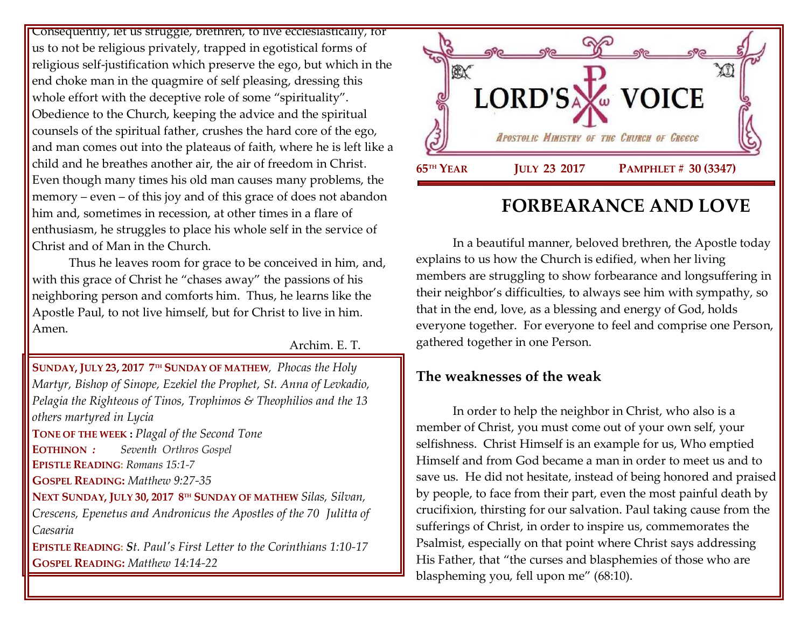Consequently, let us struggle, brethren, to live ecclesiastically, for us to not be religious privately, trapped in egotistical forms of religious self-justification which preserve the ego, but which in the end choke man in the quagmire of self pleasing, dressing this whole effort with the deceptive role of some "spirituality". Obedience to the Church, keeping the advice and the spiritual counsels of the spiritual father, crushes the hard core of the ego, and man comes out into the plateaus of faith, where he is left like a child and he breathes another air, the air of freedom in Christ. Even though many times his old man causes many problems, the memory – even – of this joy and of this grace of does not abandon him and, sometimes in recession, at other times in a flare of enthusiasm, he struggles to place his whole self in the service of Christ and of Man in the Church.

Thus he leaves room for grace to be conceived in him, and, with this grace of Christ he "chases away" the passions of his neighboring person and comforts him. Thus, he learns like the Apostle Paul, to not live himself, but for Christ to live in him. Amen.

Archim. E. T.

**SUNDAY, JULY 23, 2017 7 TH SUNDAY OF MATHEW***, [Phocas the Holy](https://www.goarch.org/chapel/saints?contentid=137)  [Martyr, Bishop of Sinope,](https://www.goarch.org/chapel/saints?contentid=137) [Ezekiel the Prophet,](https://www.goarch.org/chapel/saints?contentid=138) St. Anna of Levkadio, [Pelagia the Righteous of Tinos,](https://www.goarch.org/chapel/saints?contentid=566) Trophimos & Theophilios and the 13 others martyred in Lycia* 

**TONE OF THE WEEK :** *Plagal of the Second Tone* **EOTHINON** *: Seventh Orthros Gospel* **EPISTLE READING:** *[Romans 15:1-7](https://www.goarch.org/chapel/lectionary?type=epistle&code=27&event=940&date=5/28/2017)*

**GOSPEL READING:** *[Matthew](https://www.goarch.org/chapel/lectionary?type=gospel&code=43&event=940&date=5/28/2017) 9:27-35*

**NEXT SUNDAY, JULY 30, 2017 8 TH SUNDAY OF MATHEW** *[Silas, Silvan,](https://www.goarch.org/chapel/saints?contentid=147)  [Crescens, Epenetus and Andronicus the Apostles of the 70](https://www.goarch.org/chapel/saints?contentid=147) Julitta of Caesaria* 

**EPISTLE READING:** *S[t. Paul's First Letter to the Corinthians 1:10-17](https://www.goarch.org/chapel/lectionary?type=epistle&code=27&event=940&date=5/28/2017)* **GOSPEL READING:** *[Matthew](https://www.goarch.org/chapel/lectionary?type=gospel&code=43&event=940&date=5/28/2017) 14:14-22*



# **FORBEARANCE AND LOVE**

In a beautiful manner, beloved brethren, the Apostle today explains to us how the Church is edified, when her living members are struggling to show forbearance and longsuffering in their neighbor's difficulties, to always see him with sympathy, so that in the end, love, as a blessing and energy of God, holds everyone together. For everyone to feel and comprise one Person, gathered together in one Person.

# **The weaknesses of the weak**

In order to help the neighbor in Christ, who also is a member of Christ, you must come out of your own self, your selfishness. Christ Himself is an example for us, Who emptied Himself and from God became a man in order to meet us and to save us. He did not hesitate, instead of being honored and praised by people, to face from their part, even the most painful death by crucifixion, thirsting for our salvation. Paul taking cause from the sufferings of Christ, in order to inspire us, commemorates the Psalmist, especially on that point where Christ says addressing His Father, that "the curses and blasphemies of those who are blaspheming you, fell upon me" (68:10).